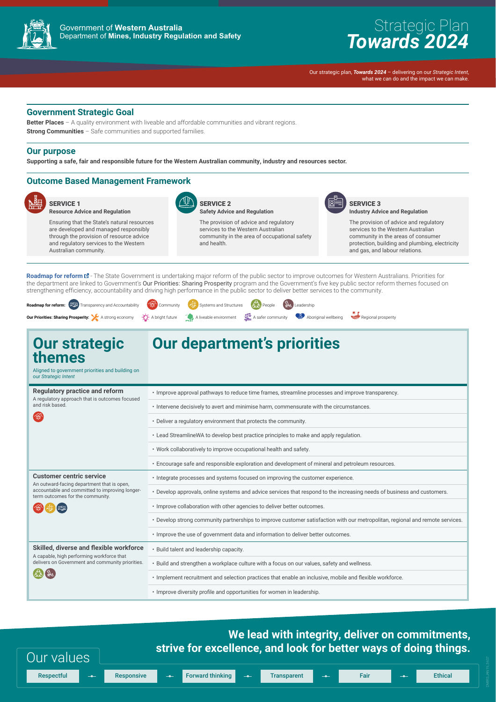

## Government of **Western Australia** Department of **Mines, Industry Regulation and Safety**

# Strategic Plan *Towards 2024*

Our strategic plan, *Towards 2024* – delivering on our *Strategic Intent*, what we can do and the impact we can make.

**Better Places** – A quality environment with liveable and affordable communities and vibrant regions. **Strong Communities** – Safe communities and supported families.

# **Government Strategic Goal**

### **Our purpose**

**Supporting a safe, fair and responsible future for the Western Australian community, industry and resources sector.**

# **Outcome Based Management Framework**



SERVICE 1 **Resource Advice and Regulation** 

Ensuring that the State's natural resources are developed and managed responsibly through the provision of resource advice and regulatory services to the Western Australian community.



Roadmap for [reform](https://www.dpc.wa.gov.au/ProjectsandSpecialEvents/Public-sector-reform/Pages/default.aspx)  $\mathbb{Z}$ - The State Government is undertaking major reform of the public sector to improve outcomes for Western Australians. Priorities for the department are linked to Government's Our Priorities: Sharing Prosperity program and the Government's five key public sector reform themes focused on strengthening efficiency, accountability and driving high performance in the public sector to deliver better services to the community.

## SERVICE 2 **Safety Advice and Regulation**

The provision of advice and regulatory services to the Western Australian community in the area of occupational safety and health.



#### SERVICE 3 **Industry Advice and Regulation**

The provision of advice and regulatory services to the Western Australian community in the areas of consumer protection, building and plumbing, electricity and gas, and labour relations.

# **We lead with integrity, deliver on commitments, strive for excellence, and look for better ways of doing things.** Our values Respectful <del>I is provided thinking to Formand thinking the Transparent Transparent Fair Fair Transparent Fair Fair</del>

| <b>Our strategic</b><br>themes<br>Aligned to government priorities and building on<br>our Strategic Intent                                                          | Our department's priorities                                                                                             |
|---------------------------------------------------------------------------------------------------------------------------------------------------------------------|-------------------------------------------------------------------------------------------------------------------------|
| <b>Regulatory practice and reform</b><br>A regulatory approach that is outcomes focused<br>and risk based.<br>CON                                                   | • Improve approval pathways to reduce time frames, streamline processes and improve transparency.                       |
|                                                                                                                                                                     | • Intervene decisively to avert and minimise harm, commensurate with the circumstances.                                 |
|                                                                                                                                                                     | • Deliver a regulatory environment that protects the community.                                                         |
|                                                                                                                                                                     | • Lead StreamlineWA to develop best practice principles to make and apply regulation.                                   |
|                                                                                                                                                                     | • Work collaboratively to improve occupational health and safety.                                                       |
|                                                                                                                                                                     | • Encourage safe and responsible exploration and development of mineral and petroleum resources.                        |
| <b>Customer centric service</b><br>An outward-facing department that is open,<br>accountable and committed to improving longer-<br>term outcomes for the community. | . Integrate processes and systems focused on improving the customer experience.                                         |
|                                                                                                                                                                     | • Develop approvals, online systems and advice services that respond to the increasing needs of business and customers. |
|                                                                                                                                                                     | . Improve collaboration with other agencies to deliver better outcomes.                                                 |

• Develop strong community partnerships to improve customer satisfaction with our metropolitan, regional and remote services.

• Improve the use of government data and information to deliver better outcomes.

### **Skilled, diverse and flexible workforce**

A capable, high performing workforce that delivers on Government and community priorities.



- Build talent and leadership capacity.
- Build and strengthen a workplace culture with a focus on our values, safety and wellness.
- Implement recruitment and selection practices that enable an inclusive, mobile and flexible workforce.

• Improve diversity profile and opportunities for women in leadership.